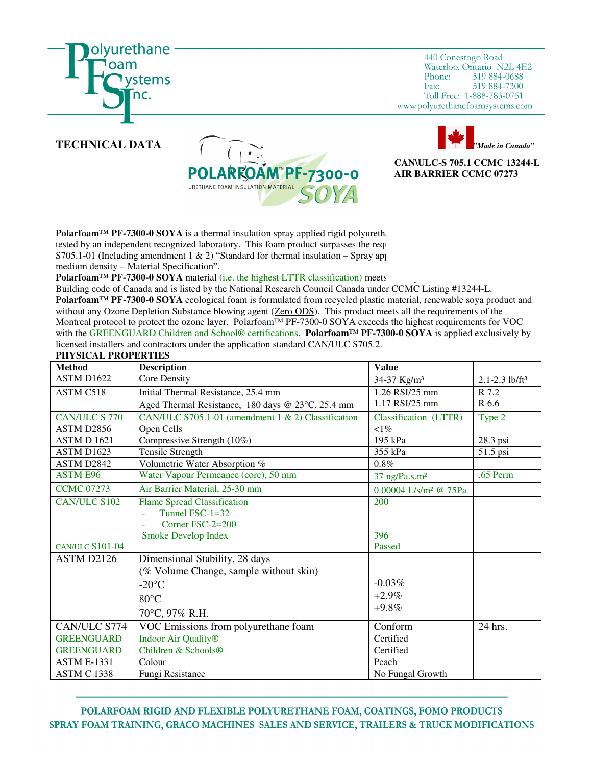

440 Conestogo Road Waterloo, Ontario N2L 4E2 Phone: 519 884-0688 519 884-7300 Fax: Toll Free: 1-888-783-0751 www.polyurethanefoamsystems.com





**CAN\ULC-S 705.1 CCMC 13244-L AIR BARRIER CCMC 07273** 

**Polarfoam™ PF-7300-0 SOYA** is a thermal insulation spray applied rigid polyurethane for the foam, peach in colour, that is a thermal in sulation spray applied rigid polyurethane tested by an independent recognized laboratory. This foam product surpasses the requ S705.1-01 (Including amendment 1 & 2) "Standard for thermal insulation – Spray app medium density – Material Specification".

**Polarfoam<sup>™</sup> PF-7300-0 SOYA** material (i.e. the highest LTTR classification) meets

Building code of Canada and is listed by the National Research Council Canada under CCMC Listing #13244-L. **Polarfoam™ PF-7300-0 SOYA** ecological foam is formulated from recycled plastic material, renewable soya product and without any Ozone Depletion Substance blowing agent (Zero ODS). This product meets all the requirements of the Montreal protocol to protect the ozone layer. Polarfoam™ PF-7300-0 SOYA exceeds the highest requirements for VOC with the GREENGUARD Children and School® certifications. **Polarfoam™ PF-7300-0 SOYA** is applied exclusively by licensed installers and contractors under the application standard CAN/ULC S705.2.

| PHYSICAL PROPERTIES  |                                                    |                                     |                                |  |  |
|----------------------|----------------------------------------------------|-------------------------------------|--------------------------------|--|--|
| <b>Method</b>        | <b>Description</b>                                 | <b>Value</b>                        |                                |  |  |
| ASTM D1622           | Core Density                                       | 34-37 Kg/m <sup>3</sup>             | $2.1 - 2.3$ lb/ft <sup>3</sup> |  |  |
| ASTM C518            | Initial Thermal Resistance, 25.4 mm                | 1.26 RSI/25 mm                      | R 7.2                          |  |  |
|                      | Aged Thermal Resistance, 180 days @ 23°C, 25.4 mm  | 1.17 RSI/25 mm                      | R 6.6                          |  |  |
| <b>CAN/ULC S 770</b> | CAN/ULC S705.1-01 (amendment 1 & 2) Classification | Classification (LTTR)               | Type 2                         |  |  |
| ASTM D2856           | Open Cells                                         | $< 1\%$                             |                                |  |  |
| ASTM D 1621          | Compressive Strength (10%)                         | 195 kPa                             | 28.3 psi                       |  |  |
| ASTM D1623           | Tensile Strength                                   | 355 kPa                             | 51.5 psi                       |  |  |
| ASTM D2842           | Volumetric Water Absorption %                      | 0.8%                                |                                |  |  |
| <b>ASTM E96</b>      | Water Vapour Permeance (core), 50 mm               | $37$ ng/Pa.s.m <sup>2</sup>         | .65 Perm                       |  |  |
| <b>CCMC 07273</b>    | Air Barrier Material, 25-30 mm                     | $0.00004$ L/s/m <sup>2</sup> @ 75Pa |                                |  |  |
| <b>CAN/ULC S102</b>  | <b>Flame Spread Classification</b>                 | 200                                 |                                |  |  |
|                      | Tunnel $FSC-1=32$                                  |                                     |                                |  |  |
|                      | Corner $FSC-2=200$                                 |                                     |                                |  |  |
|                      | <b>Smoke Develop Index</b>                         | 396                                 |                                |  |  |
| CAN/ULC $S101-04$    |                                                    | Passed                              |                                |  |  |
| ASTM D2126           | Dimensional Stability, 28 days                     |                                     |                                |  |  |
|                      | (% Volume Change, sample without skin)             |                                     |                                |  |  |
|                      | $-20$ °C                                           | $-0.03%$                            |                                |  |  |
|                      | $80^{\circ}$ C                                     | $+2.9\%$                            |                                |  |  |
|                      |                                                    | $+9.8%$                             |                                |  |  |
|                      | 70°C, 97% R.H.                                     |                                     |                                |  |  |
| CAN/ULC S774         | VOC Emissions from polyurethane foam               | Conform                             | 24 hrs.                        |  |  |
| <b>GREENGUARD</b>    | Indoor Air Quality®                                | Certified                           |                                |  |  |
| <b>GREENGUARD</b>    | Children & Schools®                                | Certified                           |                                |  |  |
| <b>ASTM E-1331</b>   | Colour                                             | Peach                               |                                |  |  |
| <b>ASTM C 1338</b>   | Fungi Resistance                                   | No Fungal Growth                    |                                |  |  |

## POLARFOAM RIGID AND FLEXIBLE POLYURETHANE FOAM, COATINGS, FOMO PRODUCTS SPRAY FOAM TRAINING, GRACO MACHINES SALES AND SERVICE, TRAILERS & TRUCK MODIFICATIONS